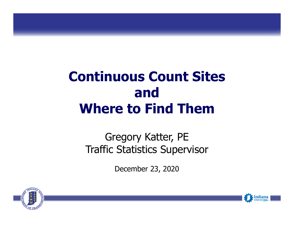# **Continuous Count Sites andWhere to Find Them**

### Gregory Katter, PE Traffic Statistics Supervisor

December 23, 2020



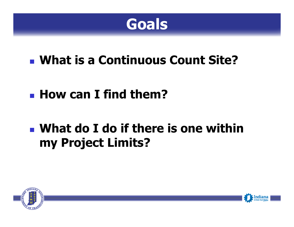

- **What is a Continuous Count Site?**
- **How can I find them?**

# **What do I do if there is one within my Project Limits?**



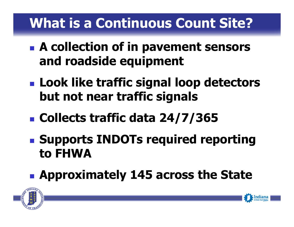# **What is a Continuous Count Site?**

- **A collection of in pavement sensors and roadside equipment**
- **Look like traffic signal loop detectors but not near traffic signals**
- **Collects traffic data 24/7/365**
- **Supports INDOTs required reporting to FHWA**
- **Approximately 145 across the State**



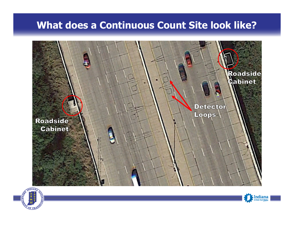#### **What does a Continuous Count Site look like?**





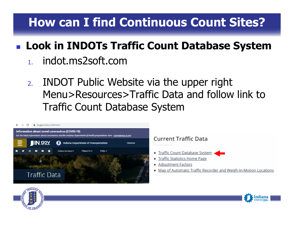## **How can I find Continuous Count Sites?**

## **Look in INDOTs Traffic Count Database System**

- 1.indot.ms2soft.com
- 2. INDOT Public Website via the upper right Menu>Resources>Traffic Data and follow link to Traffic Count Database System



Indiana

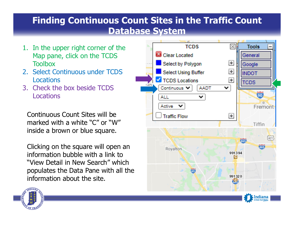#### **Finding Continuous Count Sites in the Traffic Count Database System**

- 1. In the upper right corner of the Map pane, click on the TCDS Toolbox
- 2. Select Continuous under TCDS **Locations**
- 3. Check the box beside TCDSLocations

Continuous Count Sites will be marked with a white "C" or "W" inside a brown or blue square.

Clicking on the square will open an information bubble with a link to "View Detail in New Search" which populates the Data Pane with all the information about the site.



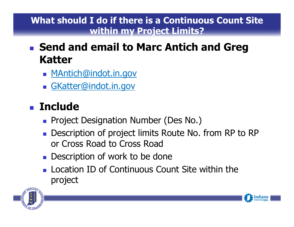#### **What should I do if there is a Continuous Count Site within my Project Limits?**

### **Send and email to Marc Antich and Greg Katter**

- <u>MAntich@indot.in.gov</u>
- GKatter@indot.in.gov

## **Include**

- **Project Designation Number (Des No.)**
- **Description of project limits Route No. from RP to RP** or Cross Road to Cross Road
- **Description of work to be done**
- **Location ID of Continuous Count Site within the** project



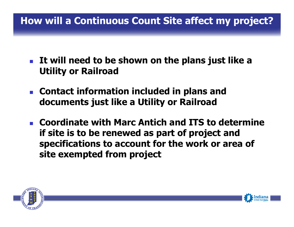### **How will a Continuous Count Site affect my project?**

- **It will need to be shown on the plans just like a Utility or Railroad**
- $\overline{\mathcal{A}}$  **Contact information included in plans and documents just like <sup>a</sup> Utility or Railroad**
- **Coordinate with Marc Antich and ITS to determine if site is to be renewed as part of project and specifications to account for the work or area of site exempted from project**